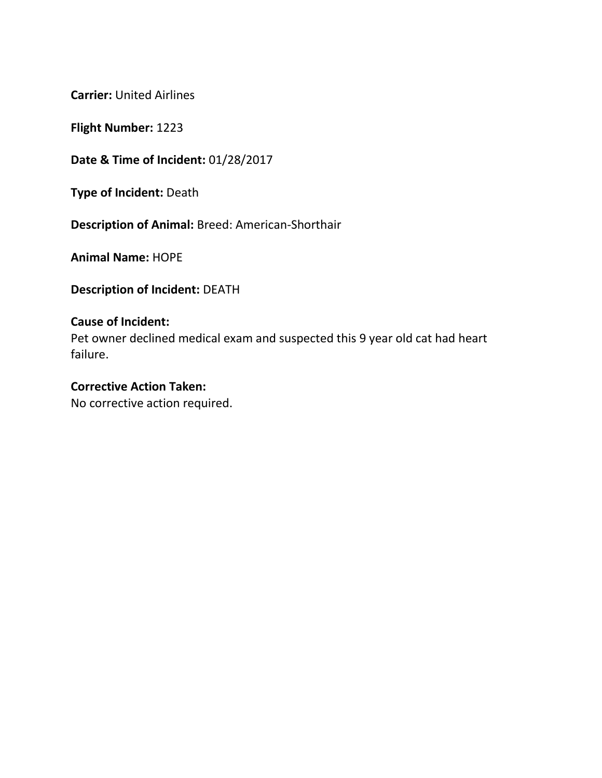**Flight Number:** 1223

**Date & Time of Incident:** 01/28/2017

**Type of Incident:** Death

**Description of Animal:** Breed: American-Shorthair

**Animal Name:** HOPE

**Description of Incident:** DEATH

# **Cause of Incident:**

Pet owner declined medical exam and suspected this 9 year old cat had heart failure.

### **Corrective Action Taken:**

No corrective action required.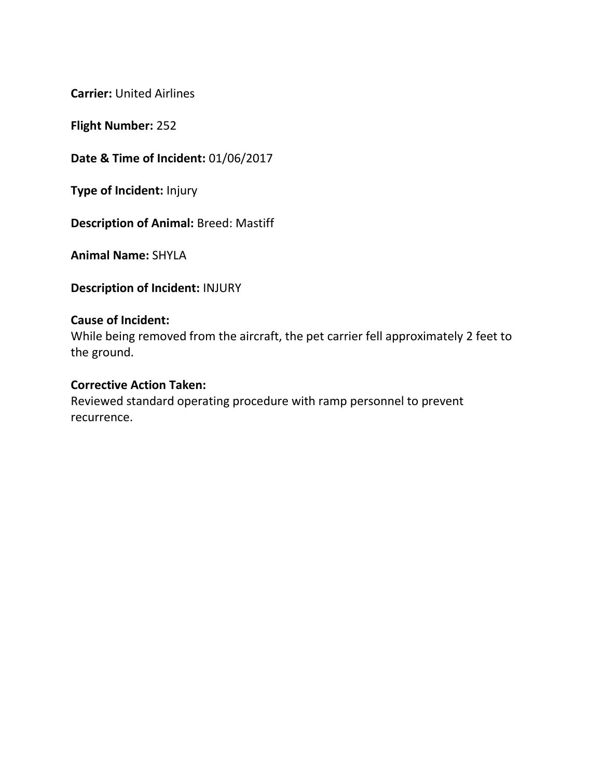**Flight Number:** 252

**Date & Time of Incident:** 01/06/2017

**Type of Incident:** Injury

**Description of Animal:** Breed: Mastiff

**Animal Name:** SHYLA

**Description of Incident:** INJURY

#### **Cause of Incident:**

While being removed from the aircraft, the pet carrier fell approximately 2 feet to the ground.

## **Corrective Action Taken:**

Reviewed standard operating procedure with ramp personnel to prevent recurrence.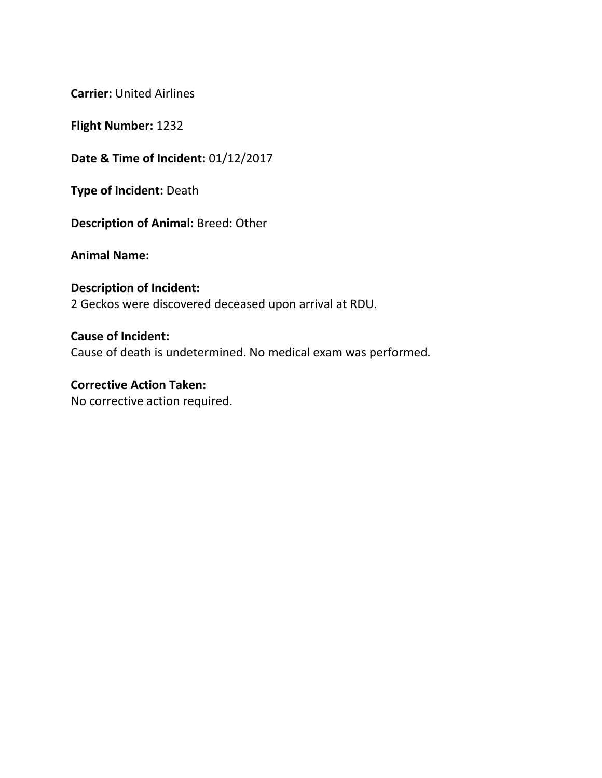**Flight Number:** 1232

**Date & Time of Incident:** 01/12/2017

**Type of Incident:** Death

**Description of Animal:** Breed: Other

**Animal Name:**

**Description of Incident:** 2 Geckos were discovered deceased upon arrival at RDU.

**Cause of Incident:** Cause of death is undetermined. No medical exam was performed.

**Corrective Action Taken:** No corrective action required.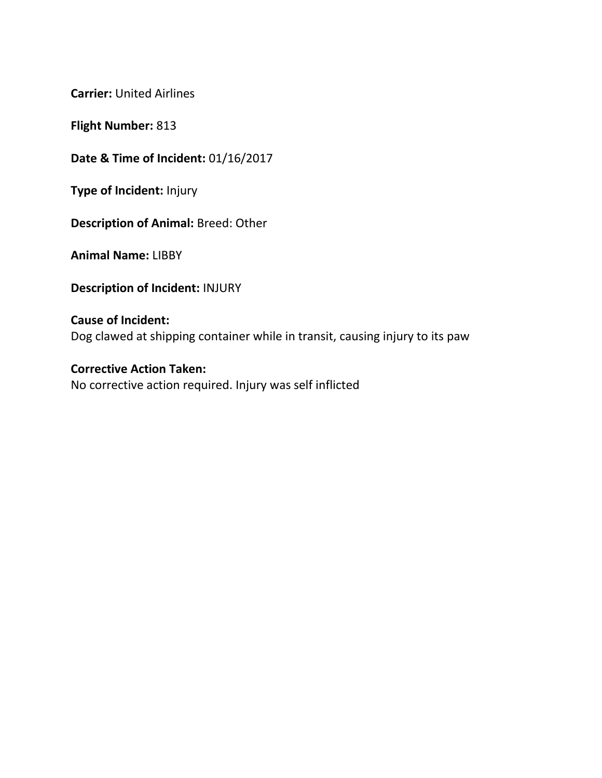**Flight Number:** 813

**Date & Time of Incident:** 01/16/2017

**Type of Incident:** Injury

**Description of Animal:** Breed: Other

**Animal Name:** LIBBY

**Description of Incident:** INJURY

**Cause of Incident:** Dog clawed at shipping container while in transit, causing injury to its paw

**Corrective Action Taken:** No corrective action required. Injury was self inflicted